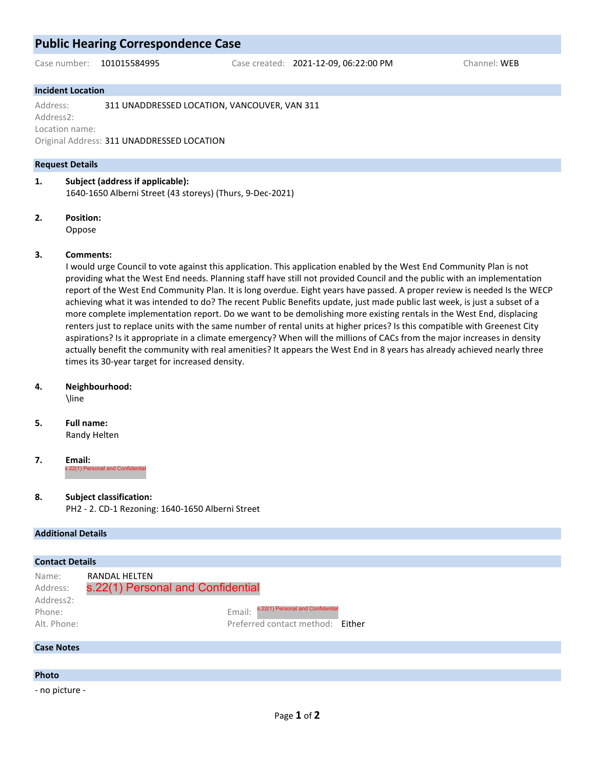# **Public Hearing Correspondence Case**

Case number: 101015584995 Case created: 2021-12-09, 06:22:00 PM Channel: WEB

# **Incident Location**

Address: 311 UNADDRESSED LOCATION, VANCOUVER, VAN 311 Address2: Location name: Original Address: 311 UNADDRESSED LOCATION

# **Request Details**

**1. Subject (address if applicable):** 1640-1650 Alberni Street (43 storeys) (Thurs, 9-Dec-2021)

**2. Position:**

Oppose

## **3. Comments:**

I would urge Council to vote against this application. This application enabled by the West End Community Plan is not providing what the West End needs. Planning staff have still not provided Council and the public with an implementation report of the West End Community Plan. It is long overdue. Eight years have passed. A proper review is needed Is the WECP achieving what it was intended to do? The recent Public Benefits update, just made public last week, is just a subset of a more complete implementation report. Do we want to be demolishing more existing rentals in the West End, displacing renters just to replace units with the same number of rental units at higher prices? Is this compatible with Greenest City aspirations? Is it appropriate in a climate emergency? When will the millions of CACs from the major increases in density actually benefit the community with real amenities? It appears the West End in 8 years has already achieved nearly three times its 30-year target for increased density.

#### **4. Neighbourhood:**

\line

#### **5. Full name:**

Randy Helten

**7. Email:** s 22(1) Personal and Cor

# **8. Subject classification:**

PH2 - 2. CD-1 Rezoning: 1640-1650 Alberni Street

#### **Additional Details**

| <b>Contact Details</b>                                  |                                                                                                                                       |  |
|---------------------------------------------------------|---------------------------------------------------------------------------------------------------------------------------------------|--|
| Name:<br>Address:<br>Address2:<br>Phone:<br>Alt. Phone: | RANDAL HELTEN<br>s.22(1) Personal and Confidential<br>s.22(1) Personal and Confidential<br>Email:<br>Preferred contact method: Either |  |
| <b>Case Notes</b>                                       |                                                                                                                                       |  |

# **Photo**

- no picture -